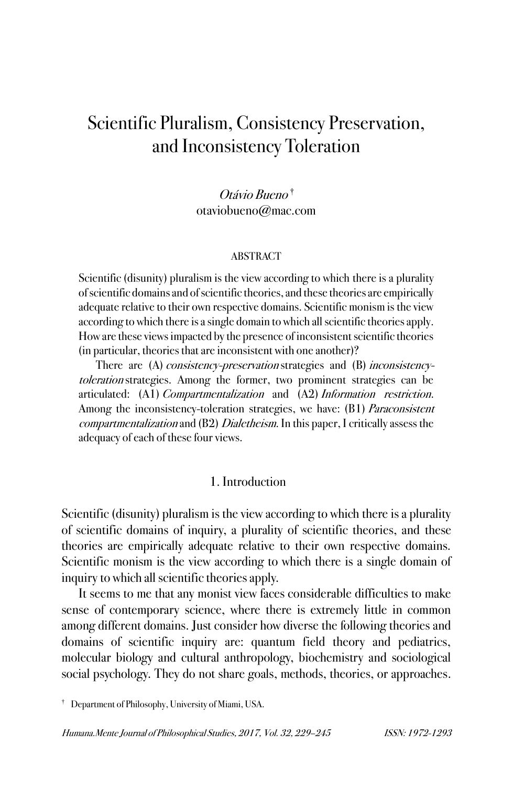# Scientific Pluralism, Consistency Preservation, and Inconsistency Toleration

Otávio Bueno † otaviobueno@mac.com

#### ABSTRACT

Scientific (disunity) pluralism is the view according to which there is a plurality of scientific domains and of scientific theories, and these theories are empirically adequate relative to their own respective domains. Scientific monism is the view according to which there is a single domain to which all scientific theories apply. How are these views impacted by the presence of inconsistent scientific theories (in particular, theories that are inconsistent with one another)?

There are (A) *consistency-preservation* strategies and (B) *inconsistency*toleration strategies. Among the former, two prominent strategies can be articulated: (A1) Compartmentalization and (A2) Information restriction. Among the inconsistency-toleration strategies, we have: (B1) Paraconsistent compartmentalization and (B2) Dialetheism. In this paper, I critically assess the adequacy of each of these four views.

### 1. Introduction

Scientific (disunity) pluralism is the view according to which there is a plurality of scientific domains of inquiry, a plurality of scientific theories, and these theories are empirically adequate relative to their own respective domains. Scientific monism is the view according to which there is a single domain of inquiry to which all scientific theories apply.

It seems to me that any monist view faces considerable difficulties to make sense of contemporary science, where there is extremely little in common among different domains. Just consider how diverse the following theories and domains of scientific inquiry are: quantum field theory and pediatrics, molecular biology and cultural anthropology, biochemistry and sociological social psychology. They do not share goals, methods, theories, or approaches.

<sup>†</sup> Department of Philosophy, University of Miami, USA.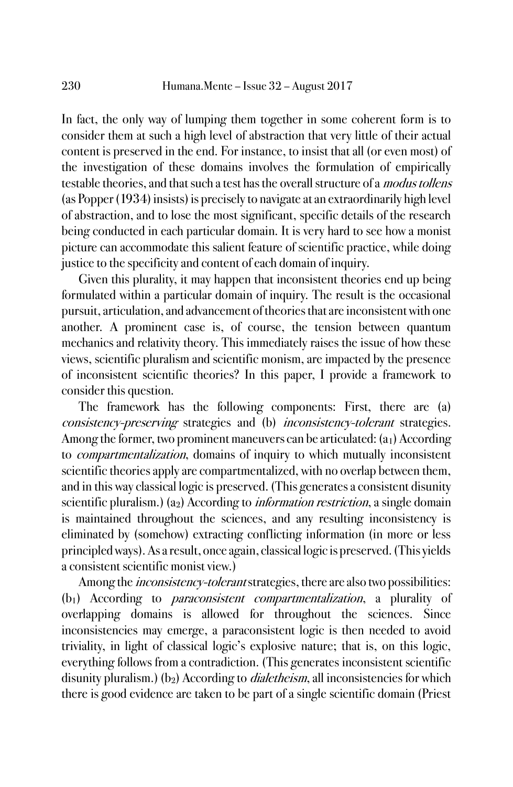In fact, the only way of lumping them together in some coherent form is to consider them at such a high level of abstraction that very little of their actual content is preserved in the end. For instance, to insist that all (or even most) of the investigation of these domains involves the formulation of empirically testable theories, and that such a test has the overall structure of a modus tollens (as Popper (1934) insists) is precisely to navigate at an extraordinarily high level of abstraction, and to lose the most significant, specific details of the research being conducted in each particular domain. It is very hard to see how a monist picture can accommodate this salient feature of scientific practice, while doing justice to the specificity and content of each domain of inquiry.

Given this plurality, it may happen that inconsistent theories end up being formulated within a particular domain of inquiry. The result is the occasional pursuit, articulation, and advancement of theories that are inconsistent with one another. A prominent case is, of course, the tension between quantum mechanics and relativity theory. This immediately raises the issue of how these views, scientific pluralism and scientific monism, are impacted by the presence of inconsistent scientific theories? In this paper, I provide a framework to consider this question.

The framework has the following components: First, there are (a) consistency-preserving strategies and (b) inconsistency-tolerant strategies. Among the former, two prominent maneuvers can be articulated: (a<sub>1</sub>) According to compartmentalization, domains of inquiry to which mutually inconsistent scientific theories apply are compartmentalized, with no overlap between them, and in this way classical logic is preserved. (This generates a consistent disunity scientific pluralism.) (a<sub>2</sub>) According to *information restriction*, a single domain is maintained throughout the sciences, and any resulting inconsistency is eliminated by (somehow) extracting conflicting information (in more or less principled ways). As a result, once again, classical logic is preserved. (This yields a consistent scientific monist view.)

Among the *inconsistency-tolerant* strategies, there are also two possibilities: (b1) According to paraconsistent compartmentalization, a plurality of overlapping domains is allowed for throughout the sciences. Since inconsistencies may emerge, a paraconsistent logic is then needed to avoid triviality, in light of classical logic's explosive nature; that is, on this logic, everything follows from a contradiction. (This generates inconsistent scientific disunity pluralism.) (b<sub>2</sub>) According to *dialetheism*, all inconsistencies for which there is good evidence are taken to be part of a single scientific domain (Priest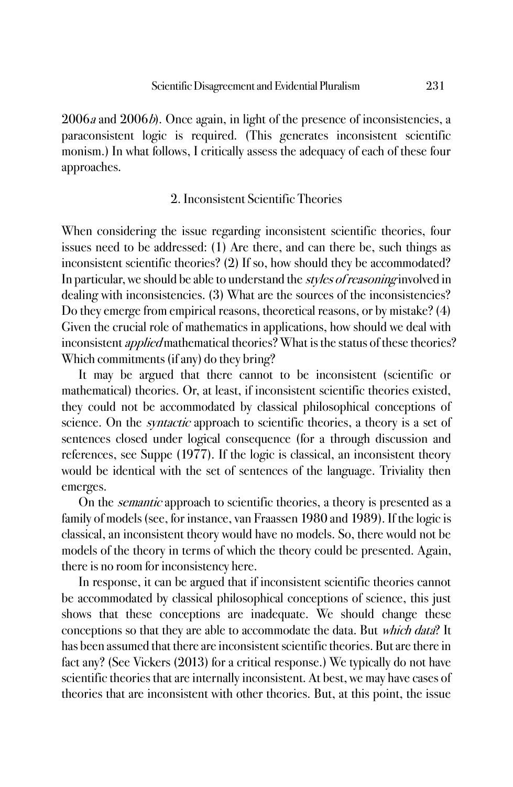2006*a* and 2006*b*). Once again, in light of the presence of inconsistencies, a paraconsistent logic is required. (This generates inconsistent scientific monism.) In what follows, I critically assess the adequacy of each of these four approaches.

# 2. Inconsistent Scientific Theories

When considering the issue regarding inconsistent scientific theories, four issues need to be addressed: (1) Are there, and can there be, such things as inconsistent scientific theories? (2) If so, how should they be accommodated? In particular, we should be able to understand the *styles of reasoning* involved in dealing with inconsistencies. (3) What are the sources of the inconsistencies? Do they emerge from empirical reasons, theoretical reasons, or by mistake? (4) Given the crucial role of mathematics in applications, how should we deal with inconsistent *applied* mathematical theories? What is the status of these theories? Which commitments (if any) do they bring?

It may be argued that there cannot to be inconsistent (scientific or mathematical) theories. Or, at least, if inconsistent scientific theories existed, they could not be accommodated by classical philosophical conceptions of science. On the *syntactic* approach to scientific theories, a theory is a set of sentences closed under logical consequence (for a through discussion and references, see Suppe (1977). If the logic is classical, an inconsistent theory would be identical with the set of sentences of the language. Triviality then emerges.

On the *semantic* approach to scientific theories, a theory is presented as a family of models (see, for instance, van Fraassen 1980 and 1989). If the logic is classical, an inconsistent theory would have no models. So, there would not be models of the theory in terms of which the theory could be presented. Again, there is no room for inconsistency here.

In response, it can be argued that if inconsistent scientific theories cannot be accommodated by classical philosophical conceptions of science, this just shows that these conceptions are inadequate. We should change these conceptions so that they are able to accommodate the data. But which data? It has been assumed that there are inconsistent scientific theories. But are there in fact any? (See Vickers (2013) for a critical response.) We typically do not have scientific theories that are internally inconsistent. At best, we may have cases of theories that are inconsistent with other theories. But, at this point, the issue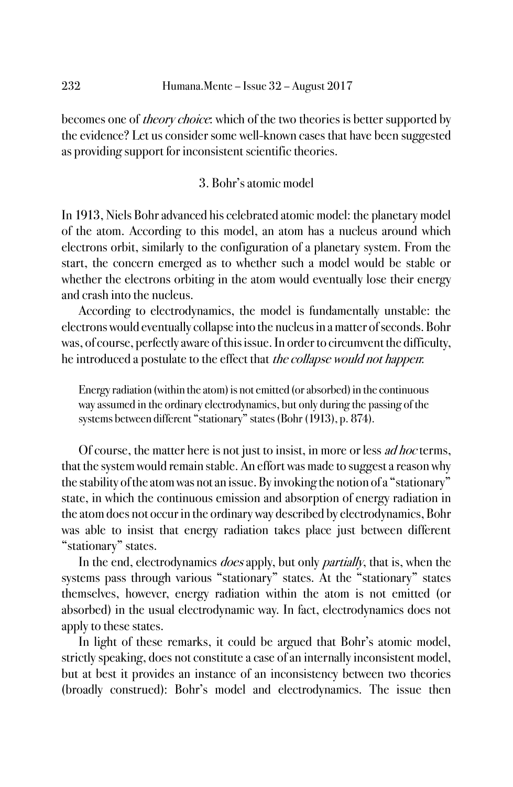becomes one of *theory choice*: which of the two theories is better supported by the evidence? Let us consider some well-known cases that have been suggested as providing support for inconsistent scientific theories.

# 3. Bohr's atomic model

In 1913, Niels Bohr advanced his celebrated atomic model: the planetary model of the atom. According to this model, an atom has a nucleus around which electrons orbit, similarly to the configuration of a planetary system. From the start, the concern emerged as to whether such a model would be stable or whether the electrons orbiting in the atom would eventually lose their energy and crash into the nucleus.

According to electrodynamics, the model is fundamentally unstable: the electrons would eventually collapse into the nucleus in a matter of seconds. Bohr was, of course, perfectly aware of this issue. In order to circumvent the difficulty, he introduced a postulate to the effect that the collapse would not happen:

Energy radiation (within the atom) is not emitted (or absorbed) in the continuous way assumed in the ordinary electrodynamics, but only during the passing of the systems between different "stationary" states (Bohr (1913), p. 874).

Of course, the matter here is not just to insist, in more or less *ad hoc* terms, that the system would remain stable. An effort was made to suggest a reason why the stability of the atom was not an issue. By invoking the notion of a "stationary" state, in which the continuous emission and absorption of energy radiation in the atom does not occur in the ordinary way described by electrodynamics, Bohr was able to insist that energy radiation takes place just between different "stationary" states.

In the end, electrodynamics *does* apply, but only *partially*, that is, when the systems pass through various "stationary" states. At the "stationary" states themselves, however, energy radiation within the atom is not emitted (or absorbed) in the usual electrodynamic way. In fact, electrodynamics does not apply to these states.

In light of these remarks, it could be argued that Bohr's atomic model, strictly speaking, does not constitute a case of an internally inconsistent model, but at best it provides an instance of an inconsistency between two theories (broadly construed): Bohr's model and electrodynamics. The issue then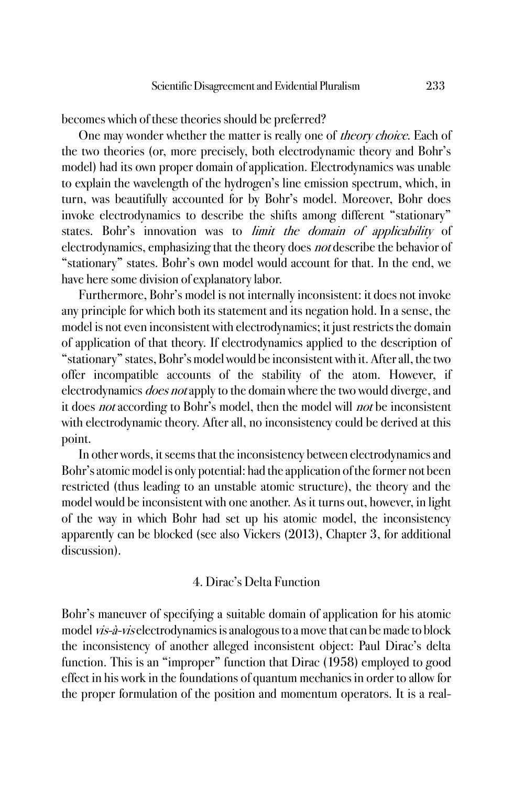becomes which of these theories should be preferred?

One may wonder whether the matter is really one of *theory choice*. Each of the two theories (or, more precisely, both electrodynamic theory and Bohr's model) had its own proper domain of application. Electrodynamics was unable to explain the wavelength of the hydrogen's line emission spectrum, which, in turn, was beautifully accounted for by Bohr's model. Moreover, Bohr does invoke electrodynamics to describe the shifts among different "stationary" states. Bohr's innovation was to *limit the domain of applicability* of electrodynamics, emphasizing that the theory does not describe the behavior of "stationary" states. Bohr's own model would account for that. In the end, we have here some division of explanatory labor.

Furthermore, Bohr's model is not internally inconsistent: it does not invoke any principle for which both its statement and its negation hold. In a sense, the model is not even inconsistent with electrodynamics; it just restricts the domain of application of that theory. If electrodynamics applied to the description of "stationary" states, Bohr's model would be inconsistent with it. After all, the two offer incompatible accounts of the stability of the atom. However, if electrodynamics *does not* apply to the domain where the two would diverge, and it does not according to Bohr's model, then the model will not be inconsistent with electrodynamic theory. After all, no inconsistency could be derived at this point.

In other words, it seems that the inconsistency between electrodynamics and Bohr's atomic model is only potential: had the application of the former not been restricted (thus leading to an unstable atomic structure), the theory and the model would be inconsistent with one another. As it turns out, however, in light of the way in which Bohr had set up his atomic model, the inconsistency apparently can be blocked (see also Vickers (2013), Chapter 3, for additional discussion).

#### 4. Dirac's Delta Function

Bohr's maneuver of specifying a suitable domain of application for his atomic model *vis-à-vis* electrodynamics is analogous to a move that can be made to block the inconsistency of another alleged inconsistent object: Paul Dirac's delta function. This is an "improper" function that Dirac (1958) employed to good effect in his work in the foundations of quantum mechanics in order to allow for the proper formulation of the position and momentum operators. It is a real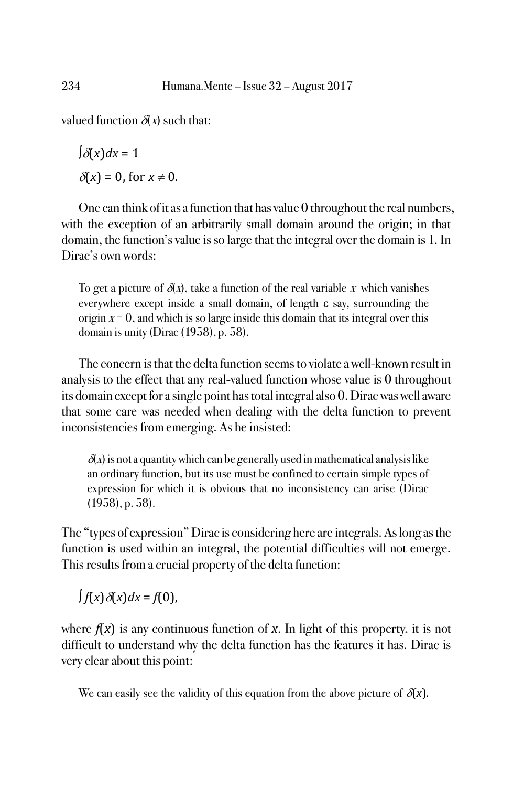valued function  $\delta(x)$  such that:

 $\int \delta(x) dx = 1$  $\delta(x) = 0$ , for  $x \neq 0$ .

One can think of it as a function that has value 0 throughout the real numbers, with the exception of an arbitrarily small domain around the origin; in that domain, the function's value is so large that the integral over the domain is 1. In Dirac's own words:

To get a picture of  $\delta(x)$ , take a function of the real variable x which vanishes everywhere except inside a small domain, of length  $\varepsilon$  say, surrounding the origin  $x = 0$ , and which is so large inside this domain that its integral over this domain is unity (Dirac (1958), p. 58).

The concern is that the delta function seems to violate a well-known result in analysis to the effect that any real-valued function whose value is 0 throughout its domain except for a single point has total integral also 0. Dirac was well aware that some care was needed when dealing with the delta function to prevent inconsistencies from emerging. As he insisted:

 $\delta(x)$  is not a quantity which can be generally used in mathematical analysis like an ordinary function, but its use must be confined to certain simple types of expression for which it is obvious that no inconsistency can arise (Dirac (1958), p. 58).

The "types of expression" Dirac is considering here are integrals. As long as the function is used within an integral, the potential difficulties will not emerge. This results from a crucial property of the delta function:

 $\int f(x) \, \delta(x) dx = f(0)$ ,

where  $f(x)$  is any continuous function of x. In light of this property, it is not difficult to understand why the delta function has the features it has. Dirac is very clear about this point:

We can easily see the validity of this equation from the above picture of  $\delta(x)$ .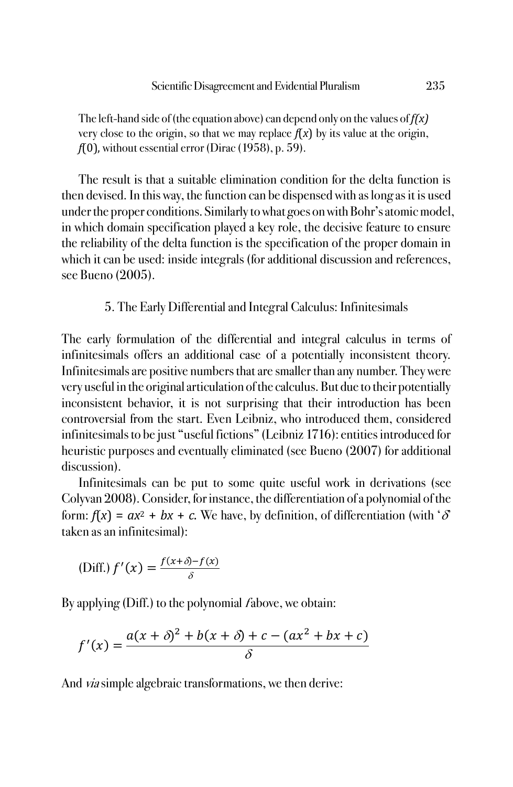The left-hand side of (the equation above) can depend only on the values of *f(x)* very close to the origin, so that we may replace  $f(x)$  by its value at the origin, *f*(0), without essential error (Dirac (1958), p. 59).

The result is that a suitable elimination condition for the delta function is then devised. In this way, the function can be dispensed with as long as it is used under the proper conditions. Similarly to what goes on with Bohr's atomic model, in which domain specification played a key role, the decisive feature to ensure the reliability of the delta function is the specification of the proper domain in which it can be used: inside integrals (for additional discussion and references, see Bueno (2005).

### 5. The Early Differential and Integral Calculus: Infinitesimals

The early formulation of the differential and integral calculus in terms of infinitesimals offers an additional case of a potentially inconsistent theory. Infinitesimals are positive numbers that are smaller than any number. They were very useful in the original articulation of the calculus. But due to their potentially inconsistent behavior, it is not surprising that their introduction has been controversial from the start. Even Leibniz, who introduced them, considered infinitesimals to be just "useful fictions" (Leibniz 1716): entities introduced for heuristic purposes and eventually eliminated (see Bueno (2007) for additional discussion).

Infinitesimals can be put to some quite useful work in derivations (see Colyvan 2008). Consider, for instance, the differentiation of a polynomial of the form:  $f(x) = ax^2 + bx + c$ . We have, by definition, of differentiation (with ' $\delta$ ' taken as an infinitesimal):

(Diff.) 
$$
f'(x) = \frac{f(x+\delta) - f(x)}{\delta}
$$

By applying (Diff.) to the polynomial fabove, we obtain:

$$
f'(x) = \frac{a(x + \delta)^2 + b(x + \delta) + c - (ax^2 + bx + c)}{\delta}
$$

And *via* simple algebraic transformations, we then derive: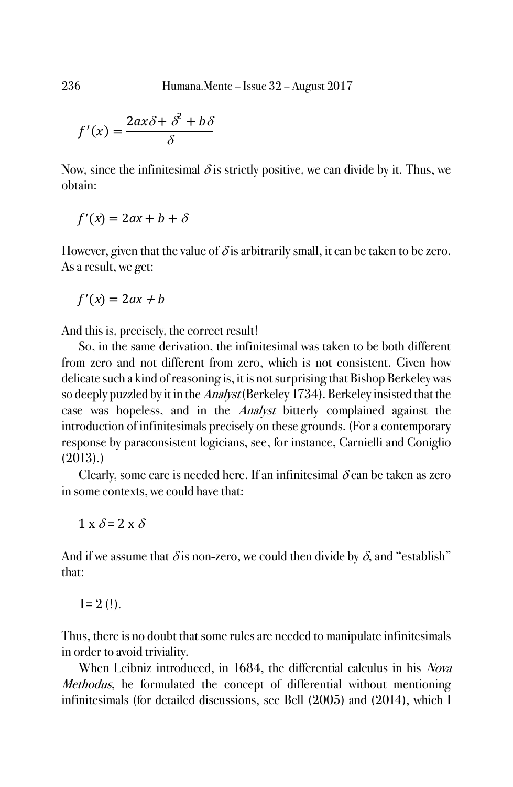236 Humana.Mente – Issue 32 – August 2017

$$
f'(x) = \frac{2ax\delta + \delta^2 + b\delta}{\delta}
$$

Now, since the infinitesimal  $\delta$  is strictly positive, we can divide by it. Thus, we obtain:

$$
f'(x) = 2ax + b + \delta
$$

However, given that the value of  $\delta$  is arbitrarily small, it can be taken to be zero. As a result, we get:

 $f'(x) = 2ax + b$ 

And this is, precisely, the correct result!

So, in the same derivation, the infinitesimal was taken to be both different from zero and not different from zero, which is not consistent. Given how delicate such a kind of reasoning is, it is not surprising that Bishop Berkeley was so deeply puzzled by it in the Analyst (Berkeley 1734). Berkeley insisted that the case was hopeless, and in the Analyst bitterly complained against the introduction of infinitesimals precisely on these grounds. (For a contemporary response by paraconsistent logicians, see, for instance, Carnielli and Coniglio (2013).)

Clearly, some care is needed here. If an infinitesimal  $\delta$  can be taken as zero in some contexts, we could have that:

$$
1 \ge \delta = 2 \ge \delta
$$

And if we assume that  $\delta$  is non-zero, we could then divide by  $\delta$ , and "establish" that:

 $1= 2$  (!).

Thus, there is no doubt that some rules are needed to manipulate infinitesimals in order to avoid triviality.

When Leibniz introduced, in 1684, the differential calculus in his *Nova* Methodus, he formulated the concept of differential without mentioning infinitesimals (for detailed discussions, see Bell (2005) and (2014), which I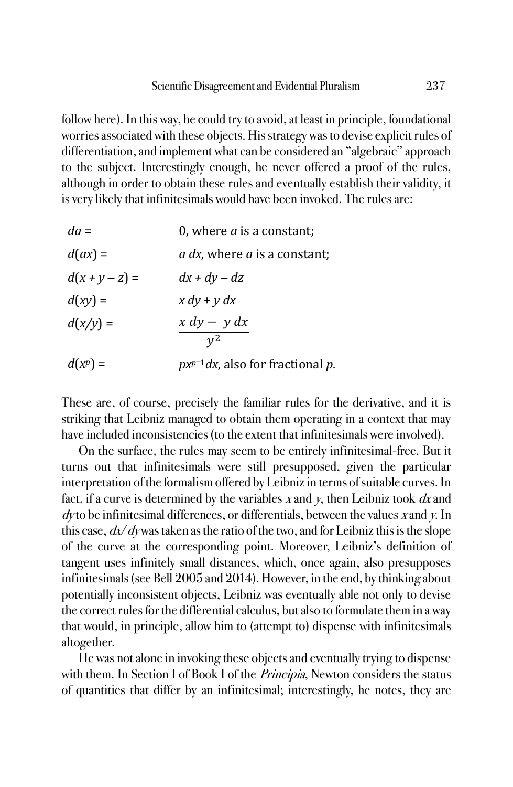follow here). In this way, he could try to avoid, at least in principle, foundational worries associated with these objects. His strategy was to devise explicit rules of differentiation, and implement what can be considered an "algebraic" approach to the subject. Interestingly enough, he never offered a proof of the rules, although in order to obtain these rules and eventually establish their validity, it is very likely that infinitesimals would have been invoked. The rules are:

| $da =$           | 0, where $a$ is a constant;                 |
|------------------|---------------------------------------------|
| $d(ax) =$        | <i>a dx</i> , where <i>a</i> is a constant; |
| $d(x + y - z) =$ | $dx + dy - dz$                              |
| $d(xy) =$        | $x dy + y dx$                               |
| $d(x/y) =$       | $x dy - y dx$                               |
|                  | $v^2$                                       |
| $d(x^p) =$       | $px^{p-1}dx$ , also for fractional p.       |

These are, of course, precisely the familiar rules for the derivative, and it is striking that Leibniz managed to obtain them operating in a context that may have included inconsistencies (to the extent that infinitesimals were involved).

On the surface, the rules may seem to be entirely infinitesimal-free. But it turns out that infinitesimals were still presupposed, given the particular interpretation of the formalism offered by Leibniz in terms of suitable curves. In fact, if a curve is determined by the variables x and y, then Leibniz took  $dx$  and  $dy$  to be infinitesimal differences, or differentials, between the values x and y. In this case,  $dx/dy$  was taken as the ratio of the two, and for Leibniz this is the slope of the curve at the corresponding point. Moreover, Leibniz's definition of tangent uses infinitely small distances, which, once again, also presupposes infinitesimals (see Bell 2005 and 2014). However, in the end, by thinking about potentially inconsistent objects, Leibniz was eventually able not only to devise the correct rules for the differential calculus, but also to formulate them in a way that would, in principle, allow him to (attempt to) dispense with infinitesimals altogether.

He was not alone in invoking these objects and eventually trying to dispense with them. In Section I of Book I of the *Principia*, Newton considers the status of quantities that differ by an infinitesimal; interestingly, he notes, they are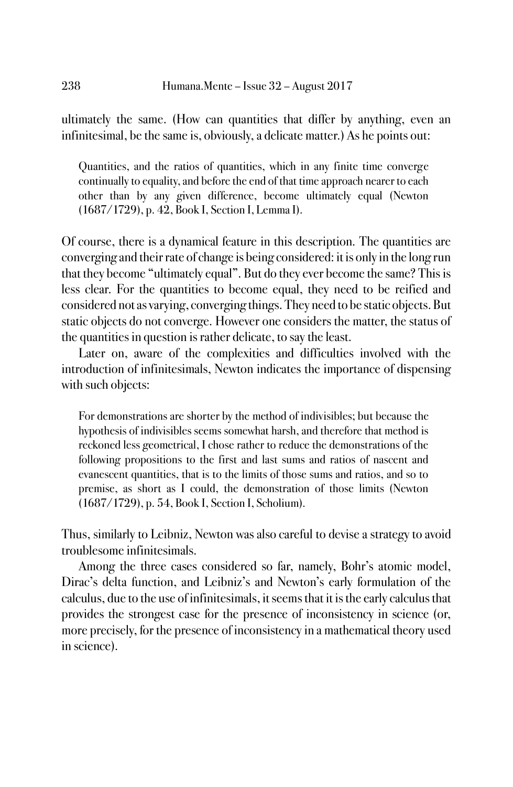ultimately the same. (How can quantities that differ by anything, even an infinitesimal, be the same is, obviously, a delicate matter.) As he points out:

Quantities, and the ratios of quantities, which in any finite time converge continually to equality, and before the end of that time approach nearer to each other than by any given difference, become ultimately equal (Newton (1687/1729), p. 42, Book I, Section I, Lemma I).

Of course, there is a dynamical feature in this description. The quantities are converging and their rate of change is being considered: it is only in the long run that they become "ultimately equal". But do they ever become the same? This is less clear. For the quantities to become equal, they need to be reified and considered not as varying, converging things. They need to be static objects. But static objects do not converge. However one considers the matter, the status of the quantities in question is rather delicate, to say the least.

Later on, aware of the complexities and difficulties involved with the introduction of infinitesimals, Newton indicates the importance of dispensing with such objects:

For demonstrations are shorter by the method of indivisibles; but because the hypothesis of indivisibles seems somewhat harsh, and therefore that method is reckoned less geometrical, I chose rather to reduce the demonstrations of the following propositions to the first and last sums and ratios of nascent and evanescent quantities, that is to the limits of those sums and ratios, and so to premise, as short as I could, the demonstration of those limits (Newton (1687/1729), p. 54, Book I, Section I, Scholium).

Thus, similarly to Leibniz, Newton was also careful to devise a strategy to avoid troublesome infinitesimals.

Among the three cases considered so far, namely, Bohr's atomic model, Dirac's delta function, and Leibniz's and Newton's early formulation of the calculus, due to the use of infinitesimals, it seems that it is the early calculus that provides the strongest case for the presence of inconsistency in science (or, more precisely, for the presence of inconsistency in a mathematical theory used in science).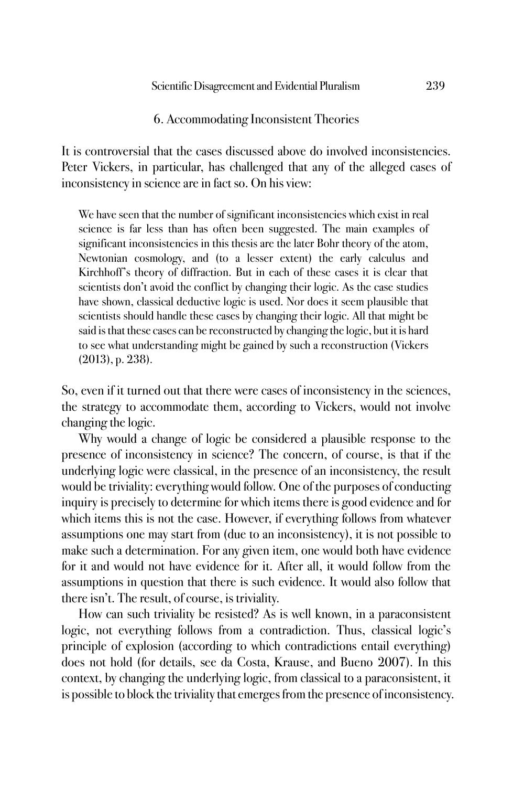### 6. Accommodating Inconsistent Theories

It is controversial that the cases discussed above do involved inconsistencies. Peter Vickers, in particular, has challenged that any of the alleged cases of inconsistency in science are in fact so. On his view:

We have seen that the number of significant inconsistencies which exist in real science is far less than has often been suggested. The main examples of significant inconsistencies in this thesis are the later Bohr theory of the atom, Newtonian cosmology, and (to a lesser extent) the early calculus and Kirchhoff's theory of diffraction. But in each of these cases it is clear that scientists don't avoid the conflict by changing their logic. As the case studies have shown, classical deductive logic is used. Nor does it seem plausible that scientists should handle these cases by changing their logic. All that might be said is that these cases can be reconstructed by changing the logic, but it is hard to see what understanding might be gained by such a reconstruction (Vickers (2013), p. 238).

So, even if it turned out that there were cases of inconsistency in the sciences, the strategy to accommodate them, according to Vickers, would not involve changing the logic.

Why would a change of logic be considered a plausible response to the presence of inconsistency in science? The concern, of course, is that if the underlying logic were classical, in the presence of an inconsistency, the result would be triviality: everything would follow. One of the purposes of conducting inquiry is precisely to determine for which items there is good evidence and for which items this is not the case. However, if everything follows from whatever assumptions one may start from (due to an inconsistency), it is not possible to make such a determination. For any given item, one would both have evidence for it and would not have evidence for it. After all, it would follow from the assumptions in question that there is such evidence. It would also follow that there isn't. The result, of course, is triviality.

How can such triviality be resisted? As is well known, in a paraconsistent logic, not everything follows from a contradiction. Thus, classical logic's principle of explosion (according to which contradictions entail everything) does not hold (for details, see da Costa, Krause, and Bueno 2007). In this context, by changing the underlying logic, from classical to a paraconsistent, it is possible to block the triviality that emerges from the presence of inconsistency.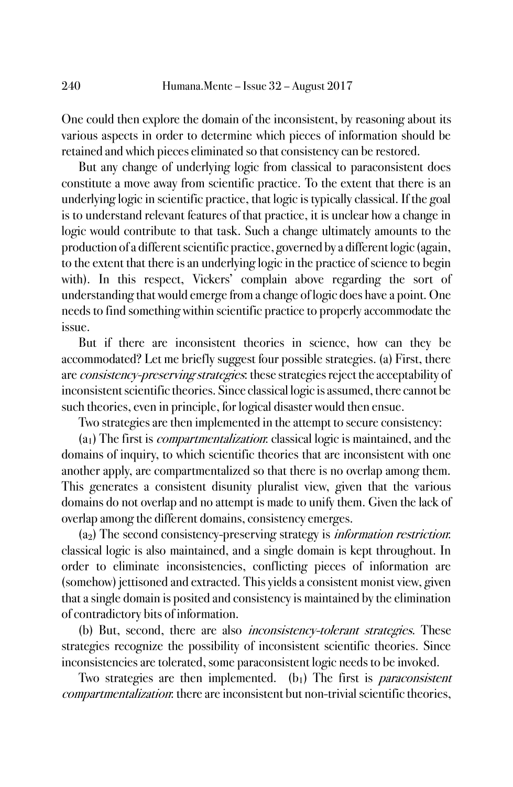One could then explore the domain of the inconsistent, by reasoning about its various aspects in order to determine which pieces of information should be retained and which pieces eliminated so that consistency can be restored.

But any change of underlying logic from classical to paraconsistent does constitute a move away from scientific practice. To the extent that there is an underlying logic in scientific practice, that logic is typically classical. If the goal is to understand relevant features of that practice, it is unclear how a change in logic would contribute to that task. Such a change ultimately amounts to the production of a different scientific practice, governed by a different logic (again, to the extent that there is an underlying logic in the practice of science to begin with). In this respect, Vickers' complain above regarding the sort of understanding that would emerge from a change of logic does have a point. One needs to find something within scientific practice to properly accommodate the issue.

But if there are inconsistent theories in science, how can they be accommodated? Let me briefly suggest four possible strategies. (a) First, there are *consistency-preserving strategies*: these strategies reject the acceptability of inconsistent scientific theories. Since classical logic is assumed, there cannot be such theories, even in principle, for logical disaster would then ensue.

Two strategies are then implemented in the attempt to secure consistency:

(a1) The first is compartmentalization: classical logic is maintained, and the domains of inquiry, to which scientific theories that are inconsistent with one another apply, are compartmentalized so that there is no overlap among them. This generates a consistent disunity pluralist view, given that the various domains do not overlap and no attempt is made to unify them. Given the lack of overlap among the different domains, consistency emerges.

(a2) The second consistency-preserving strategy is information restriction: classical logic is also maintained, and a single domain is kept throughout. In order to eliminate inconsistencies, conflicting pieces of information are (somehow) jettisoned and extracted. This yields a consistent monist view, given that a single domain is posited and consistency is maintained by the elimination of contradictory bits of information.

(b) But, second, there are also inconsistency-tolerant strategies. These strategies recognize the possibility of inconsistent scientific theories. Since inconsistencies are tolerated, some paraconsistent logic needs to be invoked.

Two strategies are then implemented.  $(b_1)$  The first is *paraconsistent* compartmentalization: there are inconsistent but non-trivial scientific theories,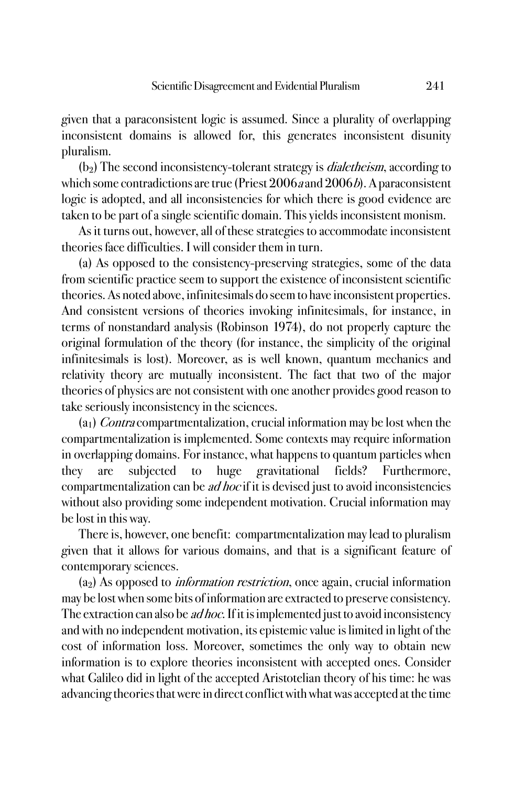given that a paraconsistent logic is assumed. Since a plurality of overlapping inconsistent domains is allowed for, this generates inconsistent disunity pluralism.

 $(b<sub>2</sub>)$  The second inconsistency-tolerant strategy is *dialetheism*, according to which some contradictions are true (Priest  $2006a$  and  $2006b$ ). A paraconsistent logic is adopted, and all inconsistencies for which there is good evidence are taken to be part of a single scientific domain. This yields inconsistent monism.

As it turns out, however, all of these strategies to accommodate inconsistent theories face difficulties. I will consider them in turn.

(a) As opposed to the consistency-preserving strategies, some of the data from scientific practice seem to support the existence of inconsistent scientific theories. As noted above, infinitesimals do seem to have inconsistent properties. And consistent versions of theories invoking infinitesimals, for instance, in terms of nonstandard analysis (Robinson 1974), do not properly capture the original formulation of the theory (for instance, the simplicity of the original infinitesimals is lost). Moreover, as is well known, quantum mechanics and relativity theory are mutually inconsistent. The fact that two of the major theories of physics are not consistent with one another provides good reason to take seriously inconsistency in the sciences.

 $(a<sub>1</sub>)$  Contra compartmentalization, crucial information may be lost when the compartmentalization is implemented. Some contexts may require information in overlapping domains. For instance, what happens to quantum particles when they are subjected to huge gravitational fields? Furthermore, compartmentalization can be *ad hoc* if it is devised just to avoid inconsistencies without also providing some independent motivation. Crucial information may be lost in this way.

There is, however, one benefit: compartmentalization may lead to pluralism given that it allows for various domains, and that is a significant feature of contemporary sciences.

 $(a<sub>2</sub>)$  As opposed to *information restriction*, once again, crucial information may be lost when some bits of information are extracted to preserve consistency. The extraction can also be *ad hoc*. If it is implemented just to avoid inconsistency and with no independent motivation, its epistemic value is limited in light of the cost of information loss. Moreover, sometimes the only way to obtain new information is to explore theories inconsistent with accepted ones. Consider what Galileo did in light of the accepted Aristotelian theory of his time: he was advancing theories that were in direct conflict with what was accepted at the time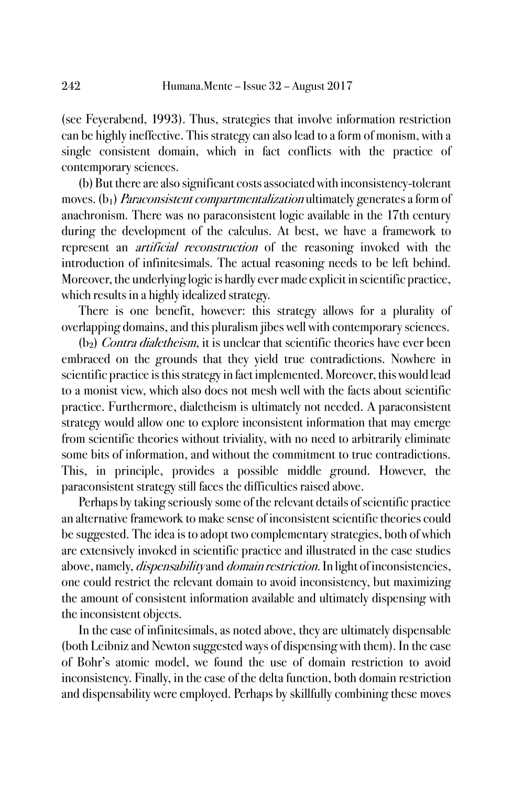(see Feyerabend, 1993). Thus, strategies that involve information restriction can be highly ineffective. This strategy can also lead to a form of monism, with a single consistent domain, which in fact conflicts with the practice of contemporary sciences.

(b) But there are also significant costs associated with inconsistency-tolerant moves.  $(b_1)$  Paraconsistent compartmentalization ultimately generates a form of anachronism. There was no paraconsistent logic available in the 17th century during the development of the calculus. At best, we have a framework to represent an artificial reconstruction of the reasoning invoked with the introduction of infinitesimals. The actual reasoning needs to be left behind. Moreover, the underlying logic is hardly ever made explicit in scientific practice, which results in a highly idealized strategy.

There is one benefit, however: this strategy allows for a plurality of overlapping domains, and this pluralism jibes well with contemporary sciences.

 $(b<sub>2</sub>)$  *Contra dialetheism*, it is unclear that scientific theories have ever been embraced on the grounds that they yield true contradictions. Nowhere in scientific practice is this strategy in fact implemented. Moreover, this would lead to a monist view, which also does not mesh well with the facts about scientific practice. Furthermore, dialetheism is ultimately not needed. A paraconsistent strategy would allow one to explore inconsistent information that may emerge from scientific theories without triviality, with no need to arbitrarily eliminate some bits of information, and without the commitment to true contradictions. This, in principle, provides a possible middle ground. However, the paraconsistent strategy still faces the difficulties raised above.

Perhaps by taking seriously some of the relevant details of scientific practice an alternative framework to make sense of inconsistent scientific theories could be suggested. The idea is to adopt two complementary strategies, both of which are extensively invoked in scientific practice and illustrated in the case studies above, namely, *dispensability* and *domain restriction*. In light of inconsistencies, one could restrict the relevant domain to avoid inconsistency, but maximizing the amount of consistent information available and ultimately dispensing with the inconsistent objects.

In the case of infinitesimals, as noted above, they are ultimately dispensable (both Leibniz and Newton suggested ways of dispensing with them). In the case of Bohr's atomic model, we found the use of domain restriction to avoid inconsistency. Finally, in the case of the delta function, both domain restriction and dispensability were employed. Perhaps by skillfully combining these moves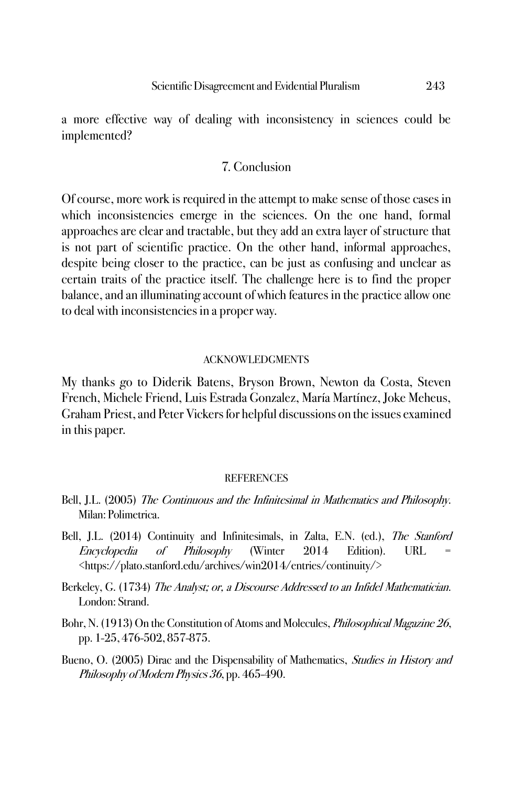a more effective way of dealing with inconsistency in sciences could be implemented?

#### 7. Conclusion

Of course, more work is required in the attempt to make sense of those cases in which inconsistencies emerge in the sciences. On the one hand, formal approaches are clear and tractable, but they add an extra layer of structure that is not part of scientific practice. On the other hand, informal approaches, despite being closer to the practice, can be just as confusing and unclear as certain traits of the practice itself. The challenge here is to find the proper balance, and an illuminating account of which features in the practice allow one to deal with inconsistencies in a proper way.

#### ACKNOWLEDGMENTS

My thanks go to Diderik Batens, Bryson Brown, Newton da Costa, Steven French, Michele Friend, Luis Estrada Gonzalez, María Martínez, Joke Meheus, Graham Priest, and Peter Vickers for helpful discussions on the issues examined in this paper.

#### **REFERENCES**

- Bell, J.L. (2005) The Continuous and the Infinitesimal in Mathematics and Philosophy. Milan: Polimetrica.
- Bell, J.L. (2014) Continuity and Infinitesimals, in Zalta, E.N. (ed.), The Stanford Encyclopedia of Philosophy (Winter 2014 Edition). URL = <https://plato.stanford.edu/archives/win2014/entries/continuity/>
- Berkeley, G. (1734) The Analyst; or, a Discourse Addressed to an Infidel Mathematician. London: Strand.
- Bohr, N. (1913) On the Constitution of Atoms and Molecules, *Philosophical Magazine 26*, pp. 1-25, 476-502, 857-875.
- Bueno, O. (2005) Dirac and the Dispensability of Mathematics, *Studies in History and* Philosophy of Modern Physics 36, pp. 465-490.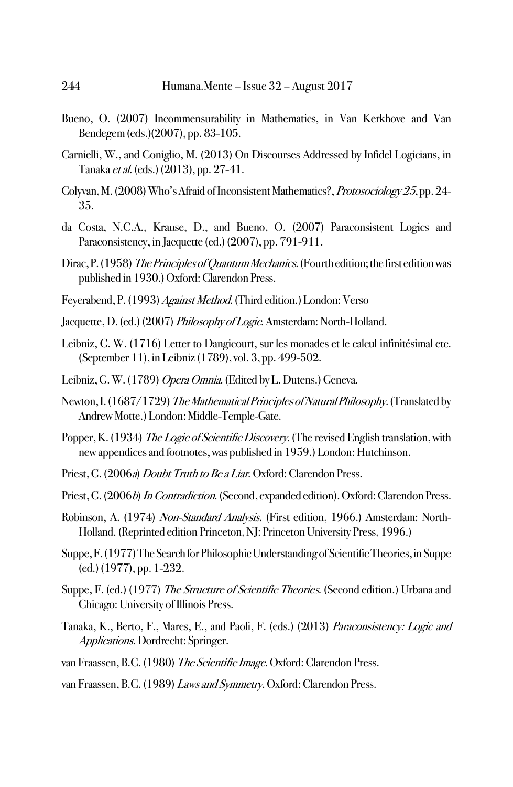- Bueno, O. (2007) Incommensurability in Mathematics, in Van Kerkhove and Van Bendegem (eds.)(2007), pp. 83-105.
- Carnielli, W., and Coniglio, M. (2013) On Discourses Addressed by Infidel Logicians, in Tanaka et al. (eds.) (2013), pp. 27-41.
- Colyvan, M. (2008) Who's Afraid of Inconsistent Mathematics?, Protosociology 25, pp. 24-35.
- da Costa, N.C.A., Krause, D., and Bueno, O. (2007) Paraconsistent Logics and Paraconsistency, in Jacquette (ed.) (2007), pp. 791-911.
- Dirac, P. (1958) The Principles of Quantum Mechanics. (Fourth edition; the first edition was published in 1930.) Oxford: Clarendon Press.
- Feyerabend, P. (1993) Against Method. (Third edition.) London: Verso
- Jacquette, D. (ed.) (2007) Philosophy of Logic. Amsterdam: North-Holland.
- Leibniz, G. W. (1716) Letter to Dangicourt, sur les monades et le calcul infinitésimal etc. (September 11), in Leibniz (1789), vol. 3, pp. 499-502.
- Leibniz, G. W. (1789) Opera Omnia. (Edited by L. Dutens.) Geneva.
- Newton, I. (1687/1729) The Mathematical Principles of Natural Philosophy. (Translated by Andrew Motte.) London: Middle-Temple-Gate.
- Popper, K. (1934) The Logic of Scientific Discovery. (The revised English translation, with new appendices and footnotes, was published in 1959.) London: Hutchinson.
- Priest, G. (2006a) Doubt Truth to Be a Liar. Oxford: Clarendon Press.
- Priest, G. (2006b) In Contradiction. (Second, expanded edition). Oxford: Clarendon Press.
- Robinson, A. (1974) Non-Standard Analysis. (First edition, 1966.) Amsterdam: North-Holland. (Reprinted edition Princeton, NJ: Princeton University Press, 1996.)
- Suppe, F. (1977)The Search for Philosophic Understanding of Scientific Theories, in Suppe (ed.) (1977), pp. 1-232.
- Suppe, F. (ed.) (1977) The Structure of Scientific Theories. (Second edition.) Urbana and Chicago: University of Illinois Press.
- Tanaka, K., Berto, F., Mares, E., and Paoli, F. (eds.) (2013) Paraconsistency: Logic and Applications. Dordrecht: Springer.
- van Fraassen, B.C. (1980) The Scientific Image. Oxford: Clarendon Press.
- van Fraassen, B.C. (1989) Laws and Symmetry. Oxford: Clarendon Press.